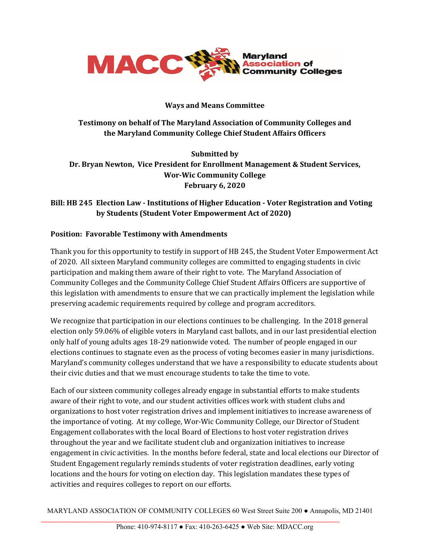

#### **Ways and Means Committee**

# **Testimony on behalf of The Maryland Association of Community Colleges and the Maryland Community College Chief Student Affairs Officers**

**Submitted by Dr. Bryan Newton, Vice President for Enrollment Management & Student Services, Wor-Wic Community College February 6, 2020**

# **Bill: HB 245 Election Law - Institutions of Higher Education - Voter Registration and Voting by Students (Student Voter Empowerment Act of 2020)**

### **Position: Favorable Testimony with Amendments**

Thank you for this opportunity to testify in support of HB 245, the Student Voter Empowerment Act of 2020. All sixteen Maryland community colleges are committed to engaging students in civic participation and making them aware of their right to vote. The Maryland Association of Community Colleges and the Community College Chief Student Affairs Officers are supportive of this legislation with amendments to ensure that we can practically implement the legislation while preserving academic requirements required by college and program accreditors.

We recognize that participation in our elections continues to be challenging. In the 2018 general election only 59.06% of eligible voters in Maryland cast ballots, and in our last presidential election only half of young adults ages 18-29 nationwide voted. The number of people engaged in our elections continues to stagnate even as the process of voting becomes easier in many jurisdictions. Maryland's community colleges understand that we have a responsibility to educate students about their civic duties and that we must encourage students to take the time to vote.

Each of our sixteen community colleges already engage in substantial efforts to make students aware of their right to vote, and our student activities offices work with student clubs and organizations to host voter registration drives and implement initiatives to increase awareness of the importance of voting. At my college, Wor-Wic Community College, our Director of Student Engagement collaborates with the local Board of Elections to host voter registration drives throughout the year and we facilitate student club and organization initiatives to increase engagement in civic activities. In the months before federal, state and local elections our Director of Student Engagement regularly reminds students of voter registration deadlines, early voting locations and the hours for voting on election day. This legislation mandates these types of activities and requires colleges to report on our efforts.

MARYLAND ASSOCIATION OF COMMUNITY COLLEGES 60 West Street Suite 200 ● Annapolis, MD 21401

**\_\_\_\_\_\_\_\_\_\_\_\_\_\_\_\_\_\_\_\_\_\_\_\_\_\_\_\_\_\_\_\_\_\_\_\_\_\_\_\_\_\_\_\_\_\_\_\_\_\_\_\_\_\_\_\_\_\_\_\_\_\_\_\_\_\_\_\_\_\_\_\_\_\_\_\_\_\_\_\_\_\_\_\_\_**